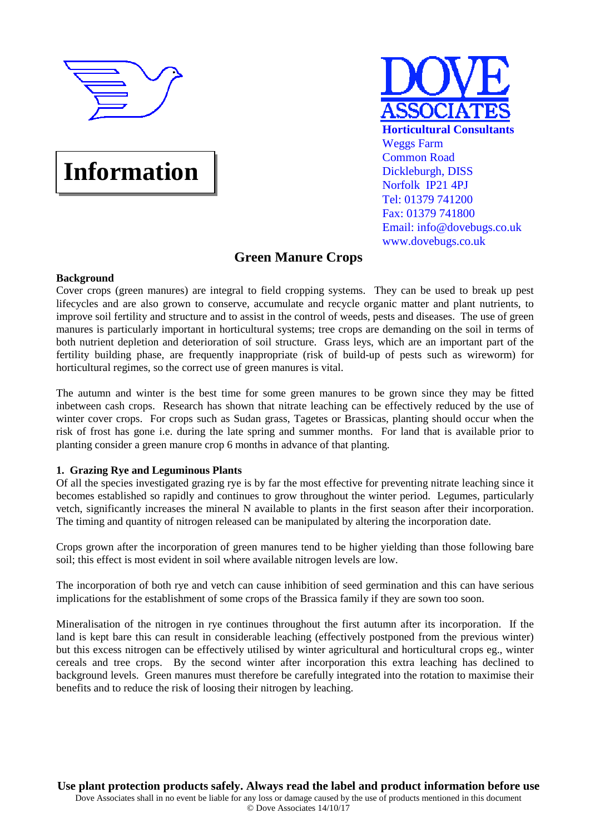

# **Information**



# **Green Manure Crops**

# **Background**

Cover crops (green manures) are integral to field cropping systems. They can be used to break up pest lifecycles and are also grown to conserve, accumulate and recycle organic matter and plant nutrients, to improve soil fertility and structure and to assist in the control of weeds, pests and diseases. The use of green manures is particularly important in horticultural systems; tree crops are demanding on the soil in terms of both nutrient depletion and deterioration of soil structure. Grass leys, which are an important part of the fertility building phase, are frequently inappropriate (risk of build-up of pests such as wireworm) for horticultural regimes, so the correct use of green manures is vital.

The autumn and winter is the best time for some green manures to be grown since they may be fitted inbetween cash crops. Research has shown that nitrate leaching can be effectively reduced by the use of winter cover crops. For crops such as Sudan grass, Tagetes or Brassicas, planting should occur when the risk of frost has gone i.e. during the late spring and summer months. For land that is available prior to planting consider a green manure crop 6 months in advance of that planting.

# **1. Grazing Rye and Leguminous Plants**

Of all the species investigated grazing rye is by far the most effective for preventing nitrate leaching since it becomes established so rapidly and continues to grow throughout the winter period. Legumes, particularly vetch, significantly increases the mineral N available to plants in the first season after their incorporation. The timing and quantity of nitrogen released can be manipulated by altering the incorporation date.

Crops grown after the incorporation of green manures tend to be higher yielding than those following bare soil; this effect is most evident in soil where available nitrogen levels are low.

The incorporation of both rye and vetch can cause inhibition of seed germination and this can have serious implications for the establishment of some crops of the Brassica family if they are sown too soon.

Mineralisation of the nitrogen in rye continues throughout the first autumn after its incorporation. If the land is kept bare this can result in considerable leaching (effectively postponed from the previous winter) but this excess nitrogen can be effectively utilised by winter agricultural and horticultural crops eg., winter cereals and tree crops. By the second winter after incorporation this extra leaching has declined to background levels. Green manures must therefore be carefully integrated into the rotation to maximise their benefits and to reduce the risk of loosing their nitrogen by leaching.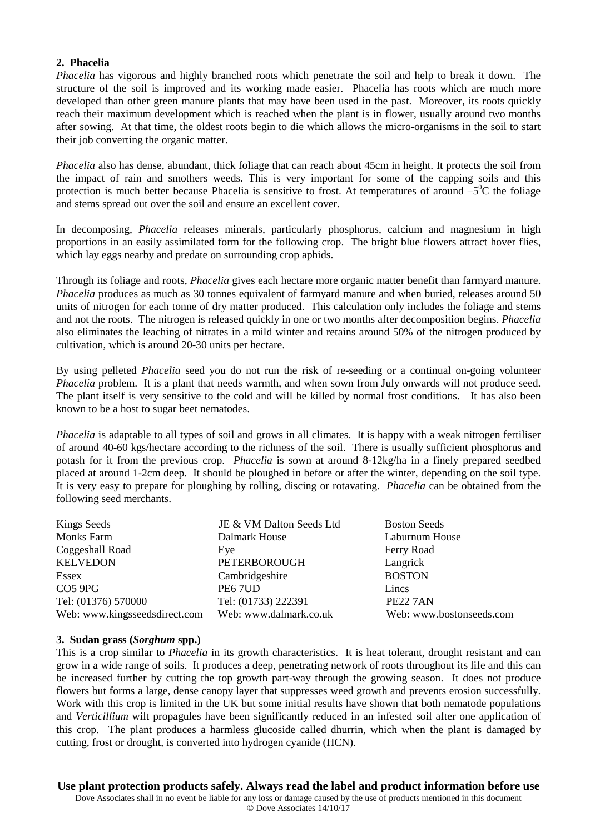# **2. Phacelia**

*Phacelia* has vigorous and highly branched roots which penetrate the soil and help to break it down. The structure of the soil is improved and its working made easier. Phacelia has roots which are much more developed than other green manure plants that may have been used in the past. Moreover, its roots quickly reach their maximum development which is reached when the plant is in flower, usually around two months after sowing. At that time, the oldest roots begin to die which allows the micro-organisms in the soil to start their job converting the organic matter.

*Phacelia* also has dense, abundant, thick foliage that can reach about 45cm in height. It protects the soil from the impact of rain and smothers weeds. This is very important for some of the capping soils and this protection is much better because Phacelia is sensitive to frost. At temperatures of around  $-5^0C$  the foliage and stems spread out over the soil and ensure an excellent cover.

In decomposing, *Phacelia* releases minerals, particularly phosphorus, calcium and magnesium in high proportions in an easily assimilated form for the following crop. The bright blue flowers attract hover flies, which lay eggs nearby and predate on surrounding crop aphids.

Through its foliage and roots, *Phacelia* gives each hectare more organic matter benefit than farmyard manure. *Phacelia* produces as much as 30 tonnes equivalent of farmyard manure and when buried, releases around 50 units of nitrogen for each tonne of dry matter produced. This calculation only includes the foliage and stems and not the roots. The nitrogen is released quickly in one or two months after decomposition begins. *Phacelia* also eliminates the leaching of nitrates in a mild winter and retains around 50% of the nitrogen produced by cultivation, which is around 20-30 units per hectare.

By using pelleted *Phacelia* seed you do not run the risk of re-seeding or a continual on-going volunteer *Phacelia* problem. It is a plant that needs warmth, and when sown from July onwards will not produce seed. The plant itself is very sensitive to the cold and will be killed by normal frost conditions. It has also been known to be a host to sugar beet nematodes.

*Phacelia* is adaptable to all types of soil and grows in all climates. It is happy with a weak nitrogen fertiliser of around 40-60 kgs/hectare according to the richness of the soil. There is usually sufficient phosphorus and potash for it from the previous crop. *Phacelia* is sown at around 8-12kg/ha in a finely prepared seedbed placed at around 1-2cm deep. It should be ploughed in before or after the winter, depending on the soil type. It is very easy to prepare for ploughing by rolling, discing or rotavating. *Phacelia* can be obtained from the following seed merchants.

| Kings Seeds                   | JE & VM Dalton Seeds Ltd | <b>Boston Seeds</b>      |
|-------------------------------|--------------------------|--------------------------|
| <b>Monks Farm</b>             | Dalmark House            | Laburnum House           |
| Coggeshall Road               | Eye                      | Ferry Road               |
| <b>KELVEDON</b>               | <b>PETERBOROUGH</b>      | Langrick                 |
| Essex                         | Cambridgeshire           | <b>BOSTON</b>            |
| CO <sub>5</sub> 9PG           | PE67UD                   | Lincs                    |
| Tel: (01376) 570000           | Tel: (01733) 222391      | <b>PE22 7AN</b>          |
| Web: www.kingsseedsdirect.com | Web: www.dalmark.co.uk   | Web: www.bostonseeds.com |

#### **3. Sudan grass (***Sorghum* **spp.)**

This is a crop similar to *Phacelia* in its growth characteristics. It is heat tolerant, drought resistant and can grow in a wide range of soils. It produces a deep, penetrating network of roots throughout its life and this can be increased further by cutting the top growth part-way through the growing season. It does not produce flowers but forms a large, dense canopy layer that suppresses weed growth and prevents erosion successfully. Work with this crop is limited in the UK but some initial results have shown that both nematode populations and *Verticillium* wilt propagules have been significantly reduced in an infested soil after one application of this crop. The plant produces a harmless glucoside called dhurrin, which when the plant is damaged by cutting, frost or drought, is converted into hydrogen cyanide (HCN).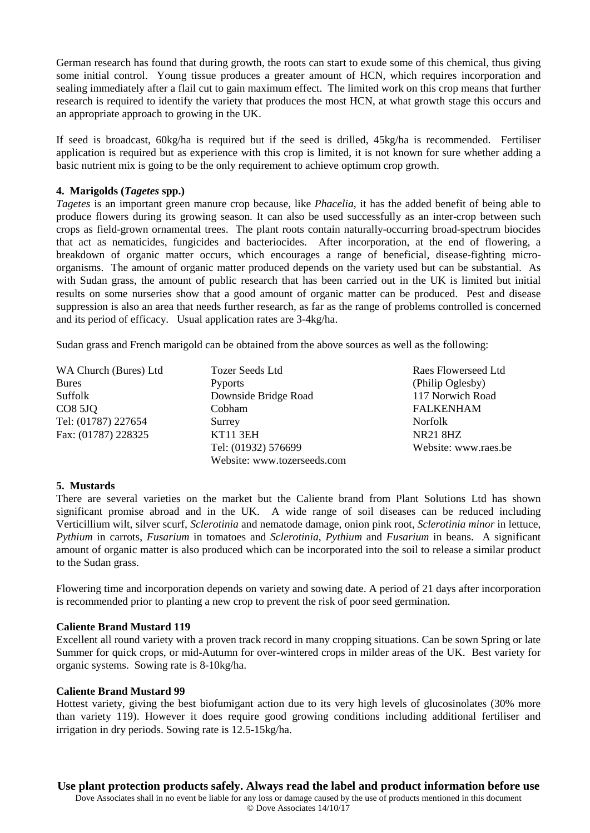German research has found that during growth, the roots can start to exude some of this chemical, thus giving some initial control. Young tissue produces a greater amount of HCN, which requires incorporation and sealing immediately after a flail cut to gain maximum effect. The limited work on this crop means that further research is required to identify the variety that produces the most HCN, at what growth stage this occurs and an appropriate approach to growing in the UK.

If seed is broadcast, 60kg/ha is required but if the seed is drilled, 45kg/ha is recommended. Fertiliser application is required but as experience with this crop is limited, it is not known for sure whether adding a basic nutrient mix is going to be the only requirement to achieve optimum crop growth.

# **4. Marigolds (***Tagetes* **spp.)**

*Tagetes* is an important green manure crop because, like *Phacelia*, it has the added benefit of being able to produce flowers during its growing season. It can also be used successfully as an inter-crop between such crops as field-grown ornamental trees. The plant roots contain naturally-occurring broad-spectrum biocides that act as nematicides, fungicides and bacteriocides. After incorporation, at the end of flowering, a breakdown of organic matter occurs, which encourages a range of beneficial, disease-fighting microorganisms. The amount of organic matter produced depends on the variety used but can be substantial. As with Sudan grass, the amount of public research that has been carried out in the UK is limited but initial results on some nurseries show that a good amount of organic matter can be produced. Pest and disease suppression is also an area that needs further research, as far as the range of problems controlled is concerned and its period of efficacy. Usual application rates are 3-4kg/ha.

Sudan grass and French marigold can be obtained from the above sources as well as the following:

| WA Church (Bures) Ltd | <b>Tozer Seeds Ltd</b>      | Raes Flowerseed Ltd  |
|-----------------------|-----------------------------|----------------------|
| <b>Bures</b>          | <b>Pyports</b>              | (Philip Oglesby)     |
| Suffolk               | Downside Bridge Road        | 117 Norwich Road     |
| <b>CO8 5JQ</b>        | Cobham                      | <b>FALKENHAM</b>     |
| Tel: (01787) 227654   | Surrey                      | Norfolk              |
| Fax: (01787) 228325   | <b>KT11 3EH</b>             | <b>NR21 8HZ</b>      |
|                       | Tel: (01932) 576699         | Website: www.raes.be |
|                       | Website: www.tozerseeds.com |                      |

# **5. Mustards**

There are several varieties on the market but the Caliente brand from Plant Solutions Ltd has shown significant promise abroad and in the UK. A wide range of soil diseases can be reduced including Verticillium wilt, silver scurf, *Sclerotinia* and nematode damage, onion pink root, *Sclerotinia minor* in lettuce, *Pythium* in carrots, *Fusarium* in tomatoes and *Sclerotinia*, *Pythium* and *Fusarium* in beans. A significant amount of organic matter is also produced which can be incorporated into the soil to release a similar product to the Sudan grass.

Flowering time and incorporation depends on variety and sowing date. A period of 21 days after incorporation is recommended prior to planting a new crop to prevent the risk of poor seed germination.

# **Caliente Brand Mustard 119**

Excellent all round variety with a proven track record in many cropping situations. Can be sown Spring or late Summer for quick crops, or mid-Autumn for over-wintered crops in milder areas of the UK. Best variety for organic systems. Sowing rate is 8-10kg/ha.

# **Caliente Brand Mustard 99**

Hottest variety, giving the best biofumigant action due to its very high levels of glucosinolates (30% more than variety 119). However it does require good growing conditions including additional fertiliser and irrigation in dry periods. Sowing rate is 12.5-15kg/ha.